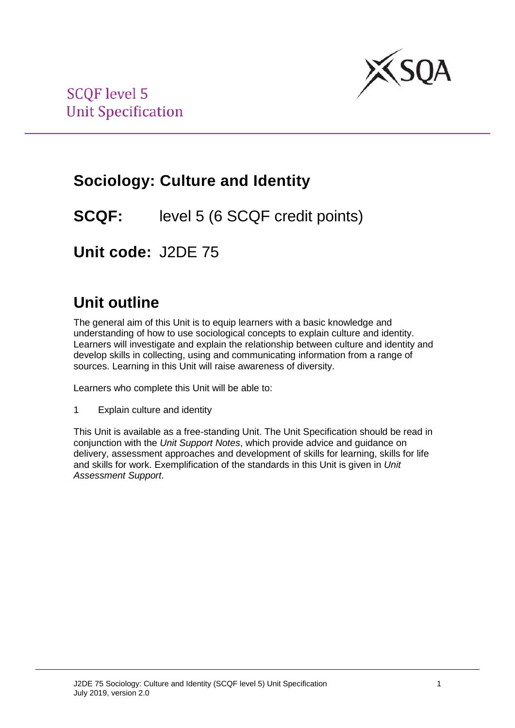

# **Sociology: Culture and Identity**

**SCQF:** level 5 (6 SCQF credit points)

**Unit code:** J2DE 75

# **Unit outline**

The general aim of this Unit is to equip learners with a basic knowledge and understanding of how to use sociological concepts to explain culture and identity. Learners will investigate and explain the relationship between culture and identity and develop skills in collecting, using and communicating information from a range of sources. Learning in this Unit will raise awareness of diversity.

Learners who complete this Unit will be able to:

1 Explain culture and identity

This Unit is available as a free-standing Unit. The Unit Specification should be read in conjunction with the *Unit Support Notes*, which provide advice and guidance on delivery, assessment approaches and development of skills for learning, skills for life and skills for work. Exemplification of the standards in this Unit is given in *Unit Assessment Support*.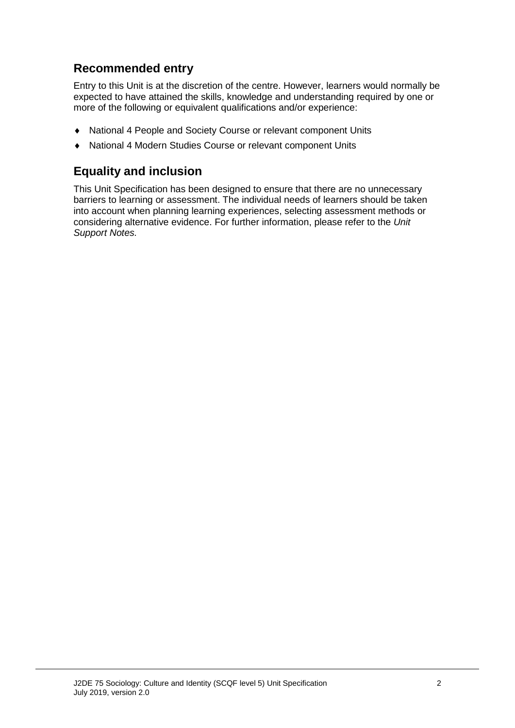### **Recommended entry**

Entry to this Unit is at the discretion of the centre. However, learners would normally be expected to have attained the skills, knowledge and understanding required by one or more of the following or equivalent qualifications and/or experience:

- ♦ National 4 People and Society Course or relevant component Units
- ♦ National 4 Modern Studies Course or relevant component Units

### **Equality and inclusion**

This Unit Specification has been designed to ensure that there are no unnecessary barriers to learning or assessment. The individual needs of learners should be taken into account when planning learning experiences, selecting assessment methods or considering alternative evidence. For further information, please refer to the *Unit Support Notes.*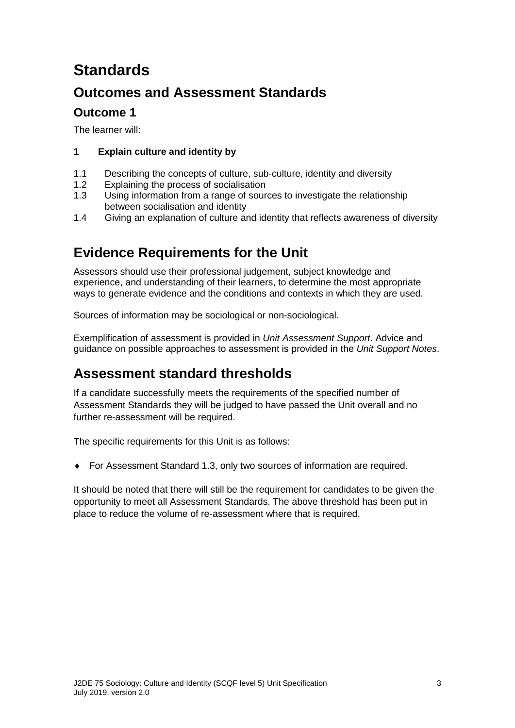# **Standards**

## **Outcomes and Assessment Standards**

### **Outcome 1**

The learner will:

### **1 Explain culture and identity by**

- 1.1 Describing the concepts of culture, sub-culture, identity and diversity<br>1.2 Explaining the process of socialisation
- 1.2 Explaining the process of socialisation<br>1.3 Using information from a range of sour
- Using information from a range of sources to investigate the relationship between socialisation and identity
- 1.4 Giving an explanation of culture and identity that reflects awareness of diversity

## **Evidence Requirements for the Unit**

Assessors should use their professional judgement, subject knowledge and experience, and understanding of their learners, to determine the most appropriate ways to generate evidence and the conditions and contexts in which they are used.

Sources of information may be sociological or non-sociological.

Exemplification of assessment is provided in *Unit Assessment Support*. Advice and guidance on possible approaches to assessment is provided in the *Unit Support Notes*.

## **Assessment standard thresholds**

If a candidate successfully meets the requirements of the specified number of Assessment Standards they will be judged to have passed the Unit overall and no further re-assessment will be required.

The specific requirements for this Unit is as follows:

♦ For Assessment Standard 1.3, only two sources of information are required.

It should be noted that there will still be the requirement for candidates to be given the opportunity to meet all Assessment Standards. The above threshold has been put in place to reduce the volume of re-assessment where that is required.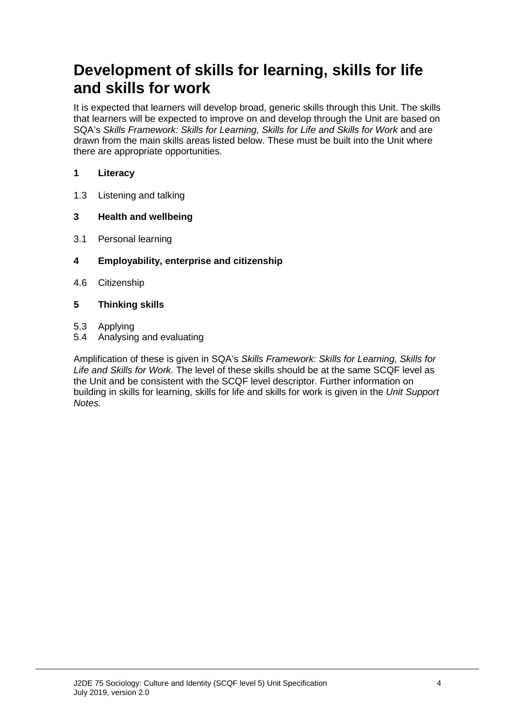# **Development of skills for learning, skills for life and skills for work**

It is expected that learners will develop broad, generic skills through this Unit. The skills that learners will be expected to improve on and develop through the Unit are based on SQA's *Skills Framework: Skills for Learning, Skills for Life and Skills for Work* and are drawn from the main skills areas listed below. These must be built into the Unit where there are appropriate opportunities.

### **1 Literacy**

1.3 Listening and talking

### **3 Health and wellbeing**

- 3.1 Personal learning
- **4 Employability, enterprise and citizenship**
- 4.6 Citizenship

### **5 Thinking skills**

- 5.3 Applying
- 5.4 Analysing and evaluating

Amplification of these is given in SQA's *Skills Framework: Skills for Learning, Skills for Life and Skills for Work.* The level of these skills should be at the same SCQF level as the Unit and be consistent with the SCQF level descriptor. Further information on building in skills for learning, skills for life and skills for work is given in the *Unit Support Notes.*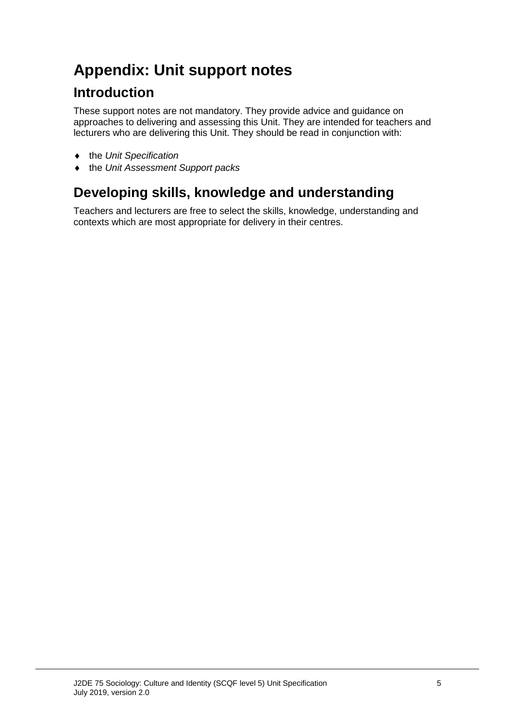# **Appendix: Unit support notes**

## **Introduction**

These support notes are not mandatory. They provide advice and guidance on approaches to delivering and assessing this Unit. They are intended for teachers and lecturers who are delivering this Unit. They should be read in conjunction with:

- ♦ the *Unit Specification*
- ♦ the *Unit Assessment Support packs*

# **Developing skills, knowledge and understanding**

Teachers and lecturers are free to select the skills, knowledge, understanding and contexts which are most appropriate for delivery in their centres.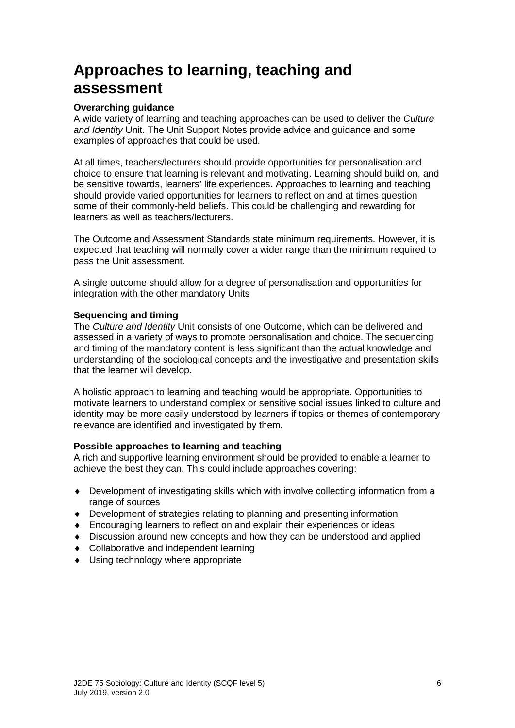# **Approaches to learning, teaching and assessment**

### **Overarching guidance**

A wide variety of learning and teaching approaches can be used to deliver the *Culture and Identity* Unit. The Unit Support Notes provide advice and guidance and some examples of approaches that could be used.

At all times, teachers/lecturers should provide opportunities for personalisation and choice to ensure that learning is relevant and motivating. Learning should build on, and be sensitive towards, learners' life experiences. Approaches to learning and teaching should provide varied opportunities for learners to reflect on and at times question some of their commonly-held beliefs. This could be challenging and rewarding for learners as well as teachers/lecturers.

The Outcome and Assessment Standards state minimum requirements. However, it is expected that teaching will normally cover a wider range than the minimum required to pass the Unit assessment.

A single outcome should allow for a degree of personalisation and opportunities for integration with the other mandatory Units

### **Sequencing and timing**

The *Culture and Identity* Unit consists of one Outcome, which can be delivered and assessed in a variety of ways to promote personalisation and choice. The sequencing and timing of the mandatory content is less significant than the actual knowledge and understanding of the sociological concepts and the investigative and presentation skills that the learner will develop.

A holistic approach to learning and teaching would be appropriate. Opportunities to motivate learners to understand complex or sensitive social issues linked to culture and identity may be more easily understood by learners if topics or themes of contemporary relevance are identified and investigated by them.

### **Possible approaches to learning and teaching**

A rich and supportive learning environment should be provided to enable a learner to achieve the best they can. This could include approaches covering:

- ♦ Development of investigating skills which with involve collecting information from a range of sources
- ♦ Development of strategies relating to planning and presenting information
- ♦ Encouraging learners to reflect on and explain their experiences or ideas
- ♦ Discussion around new concepts and how they can be understood and applied
- ♦ Collaborative and independent learning
- ♦ Using technology where appropriate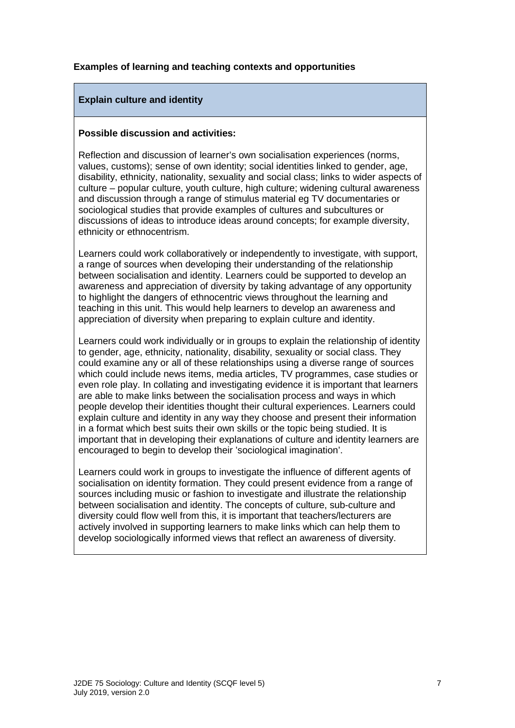### **Examples of learning and teaching contexts and opportunities**

### **Explain culture and identity**

#### **Possible discussion and activities:**

Reflection and discussion of learner's own socialisation experiences (norms, values, customs); sense of own identity; social identities linked to gender, age, disability, ethnicity, nationality, sexuality and social class; links to wider aspects of culture – popular culture, youth culture, high culture; widening cultural awareness and discussion through a range of stimulus material eg TV documentaries or sociological studies that provide examples of cultures and subcultures or discussions of ideas to introduce ideas around concepts; for example diversity, ethnicity or ethnocentrism.

Learners could work collaboratively or independently to investigate, with support, a range of sources when developing their understanding of the relationship between socialisation and identity. Learners could be supported to develop an awareness and appreciation of diversity by taking advantage of any opportunity to highlight the dangers of ethnocentric views throughout the learning and teaching in this unit. This would help learners to develop an awareness and appreciation of diversity when preparing to explain culture and identity.

Learners could work individually or in groups to explain the relationship of identity to gender, age, ethnicity, nationality, disability, sexuality or social class. They could examine any or all of these relationships using a diverse range of sources which could include news items, media articles, TV programmes, case studies or even role play. In collating and investigating evidence it is important that learners are able to make links between the socialisation process and ways in which people develop their identities thought their cultural experiences. Learners could explain culture and identity in any way they choose and present their information in a format which best suits their own skills or the topic being studied. It is important that in developing their explanations of culture and identity learners are encouraged to begin to develop their 'sociological imagination'.

Learners could work in groups to investigate the influence of different agents of socialisation on identity formation. They could present evidence from a range of sources including music or fashion to investigate and illustrate the relationship between socialisation and identity. The concepts of culture, sub-culture and diversity could flow well from this, it is important that teachers/lecturers are actively involved in supporting learners to make links which can help them to develop sociologically informed views that reflect an awareness of diversity.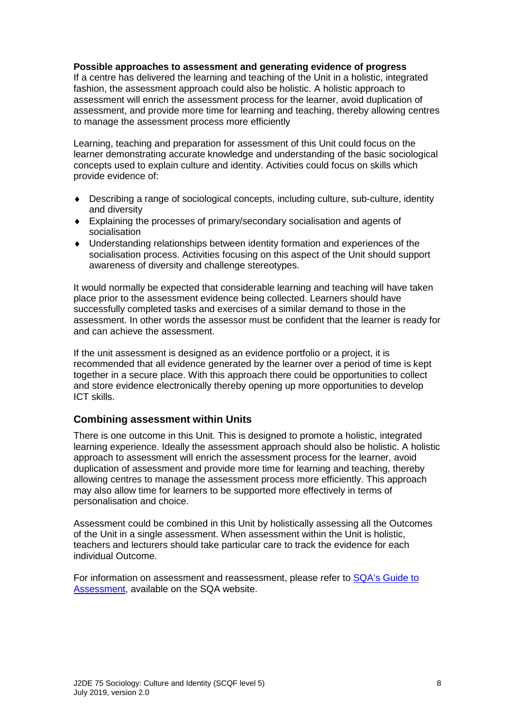#### **Possible approaches to assessment and generating evidence of progress**

If a centre has delivered the learning and teaching of the Unit in a holistic, integrated fashion, the assessment approach could also be holistic. A holistic approach to assessment will enrich the assessment process for the learner, avoid duplication of assessment, and provide more time for learning and teaching, thereby allowing centres to manage the assessment process more efficiently

Learning, teaching and preparation for assessment of this Unit could focus on the learner demonstrating accurate knowledge and understanding of the basic sociological concepts used to explain culture and identity. Activities could focus on skills which provide evidence of:

- ♦ Describing a range of sociological concepts, including culture, sub-culture, identity and diversity
- ♦ Explaining the processes of primary/secondary socialisation and agents of socialisation
- ♦ Understanding relationships between identity formation and experiences of the socialisation process. Activities focusing on this aspect of the Unit should support awareness of diversity and challenge stereotypes.

It would normally be expected that considerable learning and teaching will have taken place prior to the assessment evidence being collected. Learners should have successfully completed tasks and exercises of a similar demand to those in the assessment. In other words the assessor must be confident that the learner is ready for and can achieve the assessment.

If the unit assessment is designed as an evidence portfolio or a project, it is recommended that all evidence generated by the learner over a period of time is kept together in a secure place. With this approach there could be opportunities to collect and store evidence electronically thereby opening up more opportunities to develop ICT skills.

### **Combining assessment within Units**

There is one outcome in this Unit. This is designed to promote a holistic, integrated learning experience. Ideally the assessment approach should also be holistic. A holistic approach to assessment will enrich the assessment process for the learner, avoid duplication of assessment and provide more time for learning and teaching, thereby allowing centres to manage the assessment process more efficiently. This approach may also allow time for learners to be supported more effectively in terms of personalisation and choice.

Assessment could be combined in this Unit by holistically assessing all the Outcomes of the Unit in a single assessment. When assessment within the Unit is holistic, teachers and lecturers should take particular care to track the evidence for each individual Outcome.

For information on assessment and reassessment, please refer to **SQA's Guide to** [Assessment,](https://www.sqa.org.uk/files_ccc/Guide_To_Assessment.pdf) available on the SQA website.